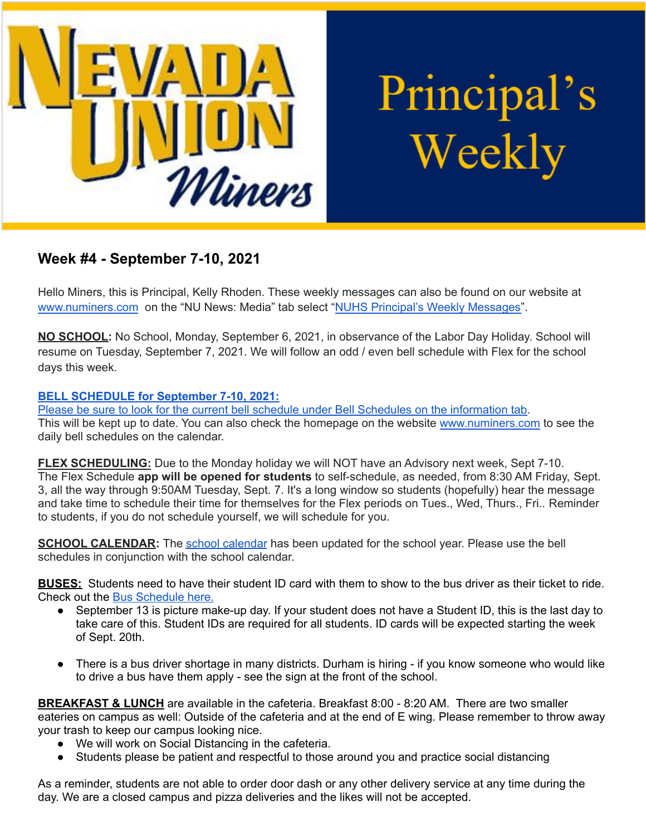

Principal's Weekly

# **Week #4 - September 7-10, 2021**

Hello Miners, this is Principal, Kelly Rhoden. These weekly messages can also be found on our website at [www.numiners.com](http://www.numiners.com) on the "NU News: Media" tab select "NUHS Principal's Weekly [Messages"](https://nevadaunion.njuhsd.com/NU-NewsMedia/NUHS-Principals-Weekly-Messages/index.html).

**NO SCHOOL:** No School, Monday, September 6, 2021, in observance of the Labor Day Holiday. School will resume on Tuesday, September 7, 2021. We will follow an odd / even bell schedule with Flex for the school days this week.

## **BELL [SCHEDULE](https://nevadaunion.njuhsd.com/documents/Bell%20Schedules/Bell-Schedule-2021-2022-NUHS-4x8.pdf) for September 7-10, 2021:**

Please be sure to look for the current bell schedule under Bell Schedules on the [information](https://nevadaunion.njuhsd.com/Information/Bell-Schedules/index.html) tab. This will be kept up to date. You can also check the homepage on the website [www.numiners.com](http://www.numiners.com) to see the daily bell schedules on the calendar.

**FLEX SCHEDULING:** Due to the Monday holiday we will NOT have an Advisory next week, Sept 7-10. The Flex Schedule **app will be opened for students** to self-schedule, as needed, from 8:30 AM Friday, Sept. 3, all the way through 9:50AM Tuesday, Sept. 7. It's a long window so students (hopefully) hear the message and take time to schedule their time for themselves for the Flex periods on Tues., Wed, Thurs., Fri.. Reminder to students, if you do not schedule yourself, we will schedule for you.

**SCHOOL CALENDAR:** The school [calendar](https://nevadaunion.njuhsd.com/Information/Calendar-School-Year-2021-2022/index.html) has been updated for the school year. Please use the bell schedules in conjunction with the school calendar.

**BUSES:** Students need to have their student ID card with them to show to the bus driver as their ticket to ride. Check out the Bus [Schedule](https://www.njuhsd.com/documents/NUHS-2021-2022-MASTER-SCHEDULE-8-20-21.pdf) here.

- September 13 is picture make-up day. If your student does not have a Student ID, this is the last day to take care of this. Student IDs are required for all students. ID cards will be expected starting the week of Sept. 20th.
- There is a bus driver shortage in many districts. Durham is hiring if you know someone who would like to drive a bus have them apply - see the sign at the front of the school.

**BREAKFAST & LUNCH** are available in the cafeteria. Breakfast 8:00 - 8:20 AM. There are two smaller eateries on campus as well: Outside of the cafeteria and at the end of E wing. Please remember to throw away your trash to keep our campus looking nice.

- We will work on Social Distancing in the cafeteria.
- Students please be patient and respectful to those around you and practice social distancing

As a reminder, students are not able to order door dash or any other delivery service at any time during the day. We are a closed campus and pizza deliveries and the likes will not be accepted.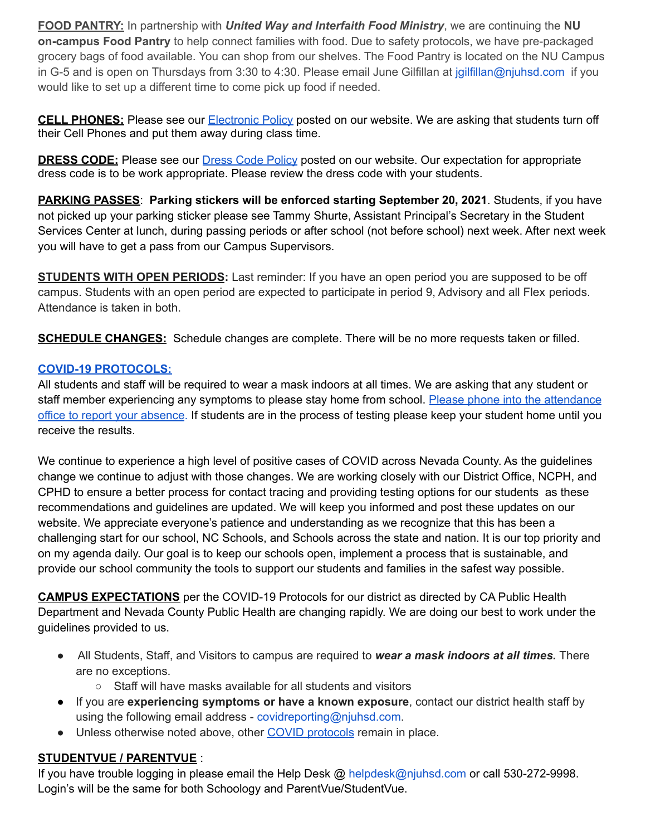**FOOD PANTRY:** In partnership with *United Way and Interfaith Food Ministry*, we are continuing the **NU on-campus Food Pantry** to help connect families with food. Due to safety protocols, we have pre-packaged grocery bags of food available. You can shop from our shelves. The Food Pantry is located on the NU Campus in G-5 and is open on Thursdays from 3:30 to 4:30. Please email June Gilfillan at jgilfillan@njuhsd.com if you would like to set up a different time to come pick up food if needed.

**CELL PHONES:** Please see our [Electronic](https://nevadaunion.njuhsd.com/documents/Nevada%20Union%20HS/Information/Annual%20Forms/19.20%20Electronics%20Policy.pdf) Policy posted on our website. We are asking that students turn off their Cell Phones and put them away during class time.

**DRESS CODE:** Please see our Dress Code [Policy](https://nevadaunion.njuhsd.com/documents/Nevada%20Union%20HS/Information/Annual%20Forms/19.20.DRESS.CODE.FULL.pdf) posted on our website. Our expectation for appropriate dress code is to be work appropriate. Please review the dress code with your students.

**PARKING PASSES**: **Parking stickers will be enforced starting September 20, 2021**. Students, if you have not picked up your parking sticker please see Tammy Shurte, Assistant Principal's Secretary in the Student Services Center at lunch, during passing periods or after school (not before school) next week. After next week you will have to get a pass from our Campus Supervisors.

**STUDENTS WITH OPEN PERIODS:** Last reminder: If you have an open period you are supposed to be off campus. Students with an open period are expected to participate in period 9, Advisory and all Flex periods. Attendance is taken in both.

**SCHEDULE CHANGES:** Schedule changes are complete. There will be no more requests taken or filled.

## **COVID-19 [PROTOCOLS:](https://www.njuhsd.com/Covid-19/index.html)**

All students and staff will be required to wear a mask indoors at all times. We are asking that any student or staff member experiencing any symptoms to please stay home from school. Please phone into the [attendance](https://nevadaunion.njuhsd.com/Information/Attendance/index.html) office to report your [absence.](https://nevadaunion.njuhsd.com/Information/Attendance/index.html) If students are in the process of testing please keep your student home until you receive the results.

We continue to experience a high level of positive cases of COVID across Nevada County. As the guidelines change we continue to adjust with those changes. We are working closely with our District Office, NCPH, and CPHD to ensure a better process for contact tracing and providing testing options for our students as these recommendations and guidelines are updated. We will keep you informed and post these updates on our website. We appreciate everyone's patience and understanding as we recognize that this has been a challenging start for our school, NC Schools, and Schools across the state and nation. It is our top priority and on my agenda daily. Our goal is to keep our schools open, implement a process that is sustainable, and provide our school community the tools to support our students and families in the safest way possible.

**CAMPUS EXPECTATIONS** per the COVID-19 Protocols for our district as directed by CA Public Health Department and Nevada County Public Health are changing rapidly. We are doing our best to work under the guidelines provided to us.

- All Students, Staff, and Visitors to campus are required to *wear a mask indoors at all times.* There are no exceptions.
	- Staff will have masks available for all students and visitors
- If you are **experiencing symptoms or have a known exposure**, contact our district health staff by using the following email address - covidreporting@njuhsd.com.
- Unless otherwise noted above, other COVID [protocols](https://www.njuhsd.com/Covid-19/index.html) remain in place.

# **STUDENTVUE / PARENTVUE** :

If you have trouble logging in please email the Help Desk @ helpdesk@njuhsd.com or call 530-272-9998. Login's will be the same for both Schoology and ParentVue/StudentVue.